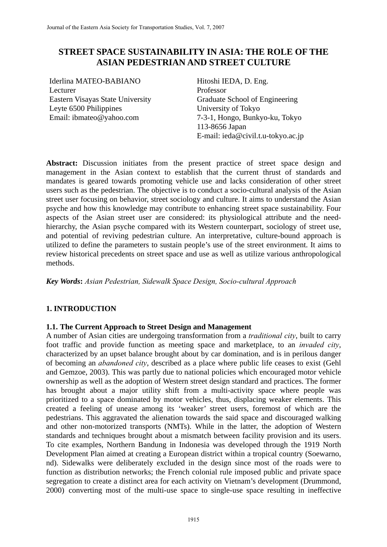# **STREET SPACE SUSTAINABILITY IN ASIA: THE ROLE OF THE ASIAN PEDESTRIAN AND STREET CULTURE**

Iderlina MATEO-BABIANO Lecturer Eastern Visayas State University Leyte 6500 Philippines Email: ibmateo@yahoo.com

Hitoshi IEDA, D. Eng. Professor Graduate School of Engineering University of Tokyo 7-3-1, Hongo, Bunkyo-ku, Tokyo 113-8656 Japan E-mail: ieda@civil.t.u-tokyo.ac.jp

**Abstract:** Discussion initiates from the present practice of street space design and management in the Asian context to establish that the current thrust of standards and mandates is geared towards promoting vehicle use and lacks consideration of other street users such as the pedestrian. The objective is to conduct a socio-cultural analysis of the Asian street user focusing on behavior, street sociology and culture. It aims to understand the Asian psyche and how this knowledge may contribute to enhancing street space sustainability. Four aspects of the Asian street user are considered: its physiological attribute and the needhierarchy, the Asian psyche compared with its Western counterpart, sociology of street use, and potential of reviving pedestrian culture. An interpretative, culture-bound approach is utilized to define the parameters to sustain people's use of the street environment. It aims to review historical precedents on street space and use as well as utilize various anthropological methods.

*Key Words***:** *Asian Pedestrian, Sidewalk Space Design, Socio-cultural Approach* 

# **1. INTRODUCTION**

## **1.1. The Current Approach to Street Design and Management**

A number of Asian cities are undergoing transformation from a *traditional city*, built to carry foot traffic and provide function as meeting space and marketplace, to an *invaded city*, characterized by an upset balance brought about by car domination, and is in perilous danger of becoming an *abandoned city*, described as a place where public life ceases to exist (Gehl and Gemzoe, 2003). This was partly due to national policies which encouraged motor vehicle ownership as well as the adoption of Western street design standard and practices. The former has brought about a major utility shift from a multi-activity space where people was prioritized to a space dominated by motor vehicles, thus, displacing weaker elements. This created a feeling of unease among its 'weaker' street users, foremost of which are the pedestrians. This aggravated the alienation towards the said space and discouraged walking and other non-motorized transports (NMTs). While in the latter, the adoption of Western standards and techniques brought about a mismatch between facility provision and its users. To cite examples, Northern Bandung in Indonesia was developed through the 1919 North Development Plan aimed at creating a European district within a tropical country (Soewarno, nd). Sidewalks were deliberately excluded in the design since most of the roads were to function as distribution networks; the French colonial rule imposed public and private space segregation to create a distinct area for each activity on Vietnam's development (Drummond, 2000) converting most of the multi-use space to single-use space resulting in ineffective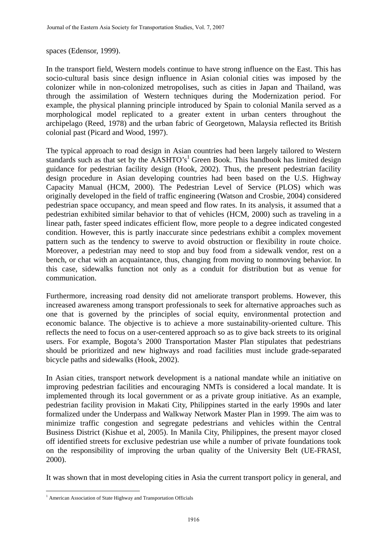spaces (Edensor, 1999).

In the transport field, Western models continue to have strong influence on the East. This has socio-cultural basis since design influence in Asian colonial cities was imposed by the colonizer while in non-colonized metropolises, such as cities in Japan and Thailand, was through the assimilation of Western techniques during the Modernization period. For example, the physical planning principle introduced by Spain to colonial Manila served as a morphological model replicated to a greater extent in urban centers throughout the archipelago (Reed, 1978) and the urban fabric of Georgetown, Malaysia reflected its British colonial past (Picard and Wood, 1997).

The typical approach to road design in Asian countries had been largely tailored to Western standards such as that set by the AASHTO's<sup>1</sup> Green Book. This handbook has limited design guidance for pedestrian facility design (Hook, 2002). Thus, the present pedestrian facility design procedure in Asian developing countries had been based on the U.S. Highway Capacity Manual (HCM, 2000). The Pedestrian Level of Service (PLOS) which was originally developed in the field of traffic engineering (Watson and Crosbie, 2004) considered pedestrian space occupancy, and mean speed and flow rates. In its analysis, it assumed that a pedestrian exhibited similar behavior to that of vehicles (HCM, 2000) such as traveling in a linear path, faster speed indicates efficient flow, more people to a degree indicated congested condition. However, this is partly inaccurate since pedestrians exhibit a complex movement pattern such as the tendency to swerve to avoid obstruction or flexibility in route choice. Moreover, a pedestrian may need to stop and buy food from a sidewalk vendor, rest on a bench, or chat with an acquaintance, thus, changing from moving to nonmoving behavior. In this case, sidewalks function not only as a conduit for distribution but as venue for communication.

Furthermore, increasing road density did not ameliorate transport problems. However, this increased awareness among transport professionals to seek for alternative approaches such as one that is governed by the principles of social equity, environmental protection and economic balance. The objective is to achieve a more sustainability-oriented culture. This reflects the need to focus on a user-centered approach so as to give back streets to its original users. For example, Bogota's 2000 Transportation Master Plan stipulates that pedestrians should be prioritized and new highways and road facilities must include grade-separated bicycle paths and sidewalks (Hook, 2002).

In Asian cities, transport network development is a national mandate while an initiative on improving pedestrian facilities and encouraging NMTs is considered a local mandate. It is implemented through its local government or as a private group initiative. As an example, pedestrian facility provision in Makati City, Philippines started in the early 1990s and later formalized under the Underpass and Walkway Network Master Plan in 1999. The aim was to minimize traffic congestion and segregate pedestrians and vehicles within the Central Business District (Kishue et al, 2005). In Manila City, Philippines, the present mayor closed off identified streets for exclusive pedestrian use while a number of private foundations took on the responsibility of improving the urban quality of the University Belt (UE-FRASI, 2000).

It was shown that in most developing cities in Asia the current transport policy in general, and

 $\overline{a}$ 

<sup>&</sup>lt;sup>1</sup> American Association of State Highway and Transportation Officials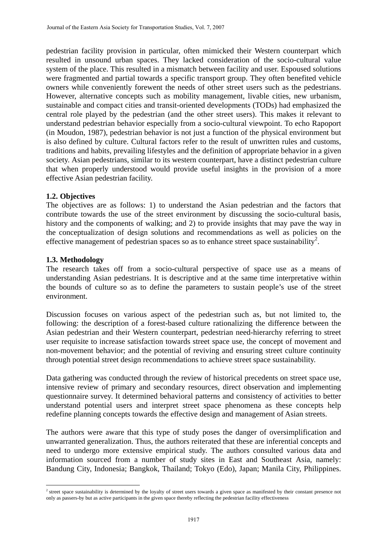pedestrian facility provision in particular, often mimicked their Western counterpart which resulted in unsound urban spaces. They lacked consideration of the socio-cultural value system of the place. This resulted in a mismatch between facility and user. Espoused solutions were fragmented and partial towards a specific transport group. They often benefited vehicle owners while conveniently forewent the needs of other street users such as the pedestrians. However, alternative concepts such as mobility management, livable cities, new urbanism, sustainable and compact cities and transit-oriented developments (TODs) had emphasized the central role played by the pedestrian (and the other street users). This makes it relevant to understand pedestrian behavior especially from a socio-cultural viewpoint. To echo Rapoport (in Moudon, 1987), pedestrian behavior is not just a function of the physical environment but is also defined by culture. Cultural factors refer to the result of unwritten rules and customs, traditions and habits, prevailing lifestyles and the definition of appropriate behavior in a given society. Asian pedestrians, similar to its western counterpart, have a distinct pedestrian culture that when properly understood would provide useful insights in the provision of a more effective Asian pedestrian facility.

## **1.2. Objectives**

The objectives are as follows: 1) to understand the Asian pedestrian and the factors that contribute towards the use of the street environment by discussing the socio-cultural basis, history and the components of walking; and 2) to provide insights that may pave the way in the conceptualization of design solutions and recommendations as well as policies on the effective management of pedestrian spaces so as to enhance street space sustainability<sup>2</sup>.

## **1.3. Methodology**

 $\overline{a}$ 

The research takes off from a socio-cultural perspective of space use as a means of understanding Asian pedestrians. It is descriptive and at the same time interpretative within the bounds of culture so as to define the parameters to sustain people's use of the street environment.

Discussion focuses on various aspect of the pedestrian such as, but not limited to, the following: the description of a forest-based culture rationalizing the difference between the Asian pedestrian and their Western counterpart, pedestrian need-hierarchy referring to street user requisite to increase satisfaction towards street space use, the concept of movement and non-movement behavior; and the potential of reviving and ensuring street culture continuity through potential street design recommendations to achieve street space sustainability.

Data gathering was conducted through the review of historical precedents on street space use, intensive review of primary and secondary resources, direct observation and implementing questionnaire survey. It determined behavioral patterns and consistency of activities to better understand potential users and interpret street space phenomena as these concepts help redefine planning concepts towards the effective design and management of Asian streets.

The authors were aware that this type of study poses the danger of oversimplification and unwarranted generalization. Thus, the authors reiterated that these are inferential concepts and need to undergo more extensive empirical study. The authors consulted various data and information sourced from a number of study sites in East and Southeast Asia, namely: Bandung City, Indonesia; Bangkok, Thailand; Tokyo (Edo), Japan; Manila City, Philippines.

<sup>&</sup>lt;sup>2</sup> street space sustainability is determined by the loyalty of street users towards a given space as manifested by their constant presence not only as passers-by but as active participants in the given space thereby reflecting the pedestrian facility effectiveness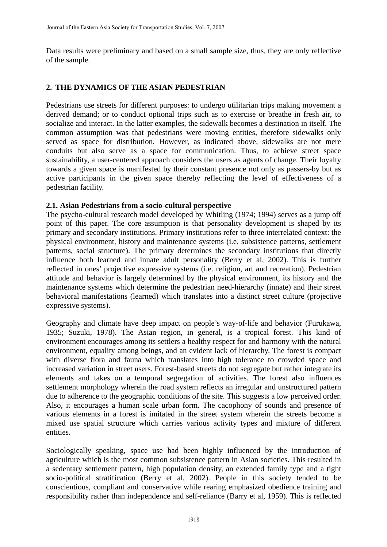Data results were preliminary and based on a small sample size, thus, they are only reflective of the sample.

## **2. THE DYNAMICS OF THE ASIAN PEDESTRIAN**

Pedestrians use streets for different purposes: to undergo utilitarian trips making movement a derived demand; or to conduct optional trips such as to exercise or breathe in fresh air, to socialize and interact. In the latter examples, the sidewalk becomes a destination in itself. The common assumption was that pedestrians were moving entities, therefore sidewalks only served as space for distribution. However, as indicated above, sidewalks are not mere conduits but also serve as a space for communication. Thus, to achieve street space sustainability, a user-centered approach considers the users as agents of change. Their loyalty towards a given space is manifested by their constant presence not only as passers-by but as active participants in the given space thereby reflecting the level of effectiveness of a pedestrian facility.

## **2.1. Asian Pedestrians from a socio-cultural perspective**

The psycho-cultural research model developed by Whitling (1974; 1994) serves as a jump off point of this paper. The core assumption is that personality development is shaped by its primary and secondary institutions. Primary institutions refer to three interrelated context: the physical environment, history and maintenance systems (i.e. subsistence patterns, settlement patterns, social structure). The primary determines the secondary institutions that directly influence both learned and innate adult personality (Berry et al, 2002). This is further reflected in ones' projective expressive systems (i.e. religion, art and recreation). Pedestrian attitude and behavior is largely determined by the physical environment, its history and the maintenance systems which determine the pedestrian need-hierarchy (innate) and their street behavioral manifestations (learned) which translates into a distinct street culture (projective expressive systems).

Geography and climate have deep impact on people's way-of-life and behavior (Furukawa, 1935; Suzuki, 1978). The Asian region, in general, is a tropical forest. This kind of environment encourages among its settlers a healthy respect for and harmony with the natural environment, equality among beings, and an evident lack of hierarchy. The forest is compact with diverse flora and fauna which translates into high tolerance to crowded space and increased variation in street users. Forest-based streets do not segregate but rather integrate its elements and takes on a temporal segregation of activities. The forest also influences settlement morphology wherein the road system reflects an irregular and unstructured pattern due to adherence to the geographic conditions of the site. This suggests a low perceived order. Also, it encourages a human scale urban form. The cacophony of sounds and presence of various elements in a forest is imitated in the street system wherein the streets become a mixed use spatial structure which carries various activity types and mixture of different entities.

Sociologically speaking, space use had been highly influenced by the introduction of agriculture which is the most common subsistence pattern in Asian societies. This resulted in a sedentary settlement pattern, high population density, an extended family type and a tight socio-political stratification (Berry et al, 2002). People in this society tended to be conscientious, compliant and conservative while rearing emphasized obedience training and responsibility rather than independence and self-reliance (Barry et al, 1959). This is reflected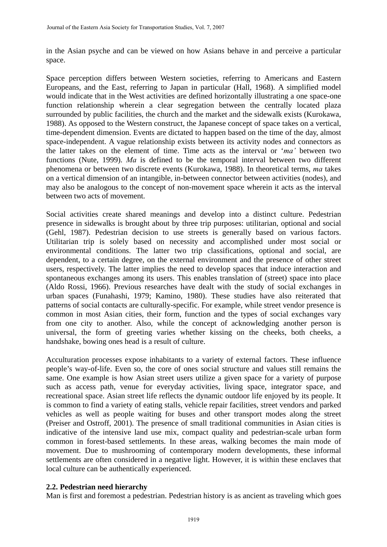in the Asian psyche and can be viewed on how Asians behave in and perceive a particular space.

Space perception differs between Western societies, referring to Americans and Eastern Europeans, and the East, referring to Japan in particular (Hall, 1968). A simplified model would indicate that in the West activities are defined horizontally illustrating a one space-one function relationship wherein a clear segregation between the centrally located plaza surrounded by public facilities, the church and the market and the sidewalk exists (Kurokawa, 1988). As opposed to the Western construct, the Japanese concept of space takes on a vertical, time-dependent dimension. Events are dictated to happen based on the time of the day, almost space-independent. A vague relationship exists between its activity nodes and connectors as the latter takes on the element of time. Time acts as the interval or '*ma'* between two functions (Nute, 1999). *Ma* is defined to be the temporal interval between two different phenomena or between two discrete events (Kurokawa, 1988). In theoretical terms, *ma* takes on a vertical dimension of an intangible, in-between connector between activities (nodes), and may also be analogous to the concept of non-movement space wherein it acts as the interval between two acts of movement.

Social activities create shared meanings and develop into a distinct culture. Pedestrian presence in sidewalks is brought about by three trip purposes: utilitarian, optional and social (Gehl, 1987). Pedestrian decision to use streets is generally based on various factors. Utilitarian trip is solely based on necessity and accomplished under most social or environmental conditions. The latter two trip classifications, optional and social, are dependent, to a certain degree, on the external environment and the presence of other street users, respectively. The latter implies the need to develop spaces that induce interaction and spontaneous exchanges among its users. This enables translation of (street) space into place (Aldo Rossi, 1966). Previous researches have dealt with the study of social exchanges in urban spaces (Funahashi, 1979; Kamino, 1980). These studies have also reiterated that patterns of social contacts are culturally-specific. For example, while street vendor presence is common in most Asian cities, their form, function and the types of social exchanges vary from one city to another. Also, while the concept of acknowledging another person is universal, the form of greeting varies whether kissing on the cheeks, both cheeks, a handshake, bowing ones head is a result of culture.

Acculturation processes expose inhabitants to a variety of external factors. These influence people's way-of-life. Even so, the core of ones social structure and values still remains the same. One example is how Asian street users utilize a given space for a variety of purpose such as access path, venue for everyday activities, living space, integrator space, and recreational space. Asian street life reflects the dynamic outdoor life enjoyed by its people. It is common to find a variety of eating stalls, vehicle repair facilities, street vendors and parked vehicles as well as people waiting for buses and other transport modes along the street (Preiser and Ostroff, 2001). The presence of small traditional communities in Asian cities is indicative of the intensive land use mix, compact quality and pedestrian-scale urban form common in forest-based settlements. In these areas, walking becomes the main mode of movement. Due to mushrooming of contemporary modern developments, these informal settlements are often considered in a negative light. However, it is within these enclaves that local culture can be authentically experienced.

## **2.2. Pedestrian need hierarchy**

Man is first and foremost a pedestrian. Pedestrian history is as ancient as traveling which goes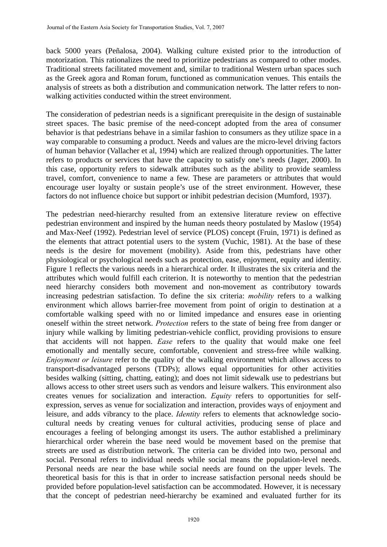back 5000 years (Peñalosa, 2004). Walking culture existed prior to the introduction of motorization. This rationalizes the need to prioritize pedestrians as compared to other modes. Traditional streets facilitated movement and, similar to traditional Western urban spaces such as the Greek agora and Roman forum, functioned as communication venues. This entails the analysis of streets as both a distribution and communication network. The latter refers to nonwalking activities conducted within the street environment.

The consideration of pedestrian needs is a significant prerequisite in the design of sustainable street spaces. The basic premise of the need-concept adopted from the area of consumer behavior is that pedestrians behave in a similar fashion to consumers as they utilize space in a way comparable to consuming a product. Needs and values are the micro-level driving factors of human behavior (Vallacher et al, 1994) which are realized through opportunities. The latter refers to products or services that have the capacity to satisfy one's needs (Jager, 2000). In this case, opportunity refers to sidewalk attributes such as the ability to provide seamless travel, comfort, convenience to name a few. These are parameters or attributes that would encourage user loyalty or sustain people's use of the street environment. However, these factors do not influence choice but support or inhibit pedestrian decision (Mumford, 1937).

The pedestrian need-hierarchy resulted from an extensive literature review on effective pedestrian environment and inspired by the human needs theory postulated by Maslow (1954) and Max-Neef (1992). Pedestrian level of service (PLOS) concept (Fruin, 1971) is defined as the elements that attract potential users to the system (Vuchic, 1981). At the base of these needs is the desire for movement (mobility). Aside from this, pedestrians have other physiological or psychological needs such as protection, ease, enjoyment, equity and identity. Figure 1 reflects the various needs in a hierarchical order. It illustrates the six criteria and the attributes which would fulfill each criterion. It is noteworthy to mention that the pedestrian need hierarchy considers both movement and non-movement as contributory towards increasing pedestrian satisfaction. To define the six criteria: *mobility* refers to a walking environment which allows barrier-free movement from point of origin to destination at a comfortable walking speed with no or limited impedance and ensures ease in orienting oneself within the street network. *Protection* refers to the state of being free from danger or injury while walking by limiting pedestrian-vehicle conflict, providing provisions to ensure that accidents will not happen. *Ease* refers to the quality that would make one feel emotionally and mentally secure, comfortable, convenient and stress-free while walking. *Enjoyment or leisure* refer to the quality of the walking environment which allows access to transport-disadvantaged persons (TDPs); allows equal opportunities for other activities besides walking (sitting, chatting, eating); and does not limit sidewalk use to pedestrians but allows access to other street users such as vendors and leisure walkers. This environment also creates venues for socialization and interaction. *Equity* refers to opportunities for selfexpression, serves as venue for socialization and interaction, provides ways of enjoyment and leisure, and adds vibrancy to the place. *Identity* refers to elements that acknowledge sociocultural needs by creating venues for cultural activities, producing sense of place and encourages a feeling of belonging amongst its users. The author established a preliminary hierarchical order wherein the base need would be movement based on the premise that streets are used as distribution network. The criteria can be divided into two, personal and social. Personal refers to individual needs while social means the population-level needs. Personal needs are near the base while social needs are found on the upper levels. The theoretical basis for this is that in order to increase satisfaction personal needs should be provided before population-level satisfaction can be accommodated. However, it is necessary that the concept of pedestrian need-hierarchy be examined and evaluated further for its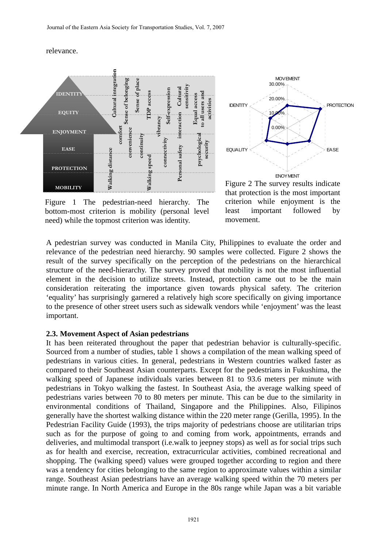#### relevance.



Figure 1 The pedestrian-need hierarchy. The bottom-most criterion is mobility (personal level need) while the topmost criterion was identity.



Figure 2 The survey results indicate that protection is the most important criterion while enjoyment is the least important followed by movement.

A pedestrian survey was conducted in Manila City, Philippines to evaluate the order and relevance of the pedestrian need hierarchy. 90 samples were collected. Figure 2 shows the result of the survey specifically on the perception of the pedestrians on the hierarchical structure of the need-hierarchy. The survey proved that mobility is not the most influential element in the decision to utilize streets. Instead, protection came out to be the main consideration reiterating the importance given towards physical safety. The criterion 'equality' has surprisingly garnered a relatively high score specifically on giving importance to the presence of other street users such as sidewalk vendors while 'enjoyment' was the least important.

#### **2.3. Movement Aspect of Asian pedestrians**

It has been reiterated throughout the paper that pedestrian behavior is culturally-specific. Sourced from a number of studies, table 1 shows a compilation of the mean walking speed of pedestrians in various cities. In general, pedestrians in Western countries walked faster as compared to their Southeast Asian counterparts. Except for the pedestrians in Fukushima, the walking speed of Japanese individuals varies between 81 to 93.6 meters per minute with pedestrians in Tokyo walking the fastest. In Southeast Asia, the average walking speed of pedestrians varies between 70 to 80 meters per minute. This can be due to the similarity in environmental conditions of Thailand, Singapore and the Philippines. Also, Filipinos generally have the shortest walking distance within the 220 meter range (Gerilla, 1995). In the Pedestrian Facility Guide (1993), the trips majority of pedestrians choose are utilitarian trips such as for the purpose of going to and coming from work, appointments, errands and deliveries, and multimodal transport (i.e.walk to jeepney stops) as well as for social trips such as for health and exercise, recreation, extracurricular activities, combined recreational and shopping. The (walking speed) values were grouped together according to region and there was a tendency for cities belonging to the same region to approximate values within a similar range. Southeast Asian pedestrians have an average walking speed within the 70 meters per minute range. In North America and Europe in the 80s range while Japan was a bit variable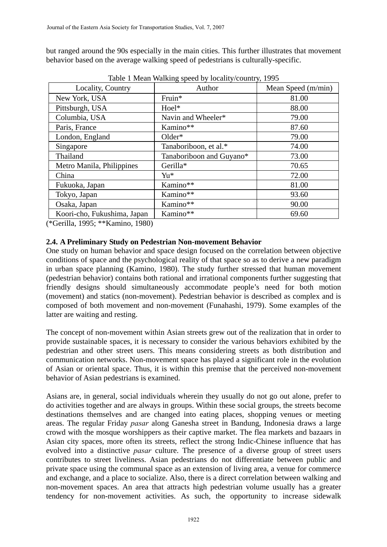but ranged around the 90s especially in the main cities. This further illustrates that movement behavior based on the average walking speed of pedestrians is culturally-specific.

| Locality, Country           | Author                   | Mean Speed (m/min) |
|-----------------------------|--------------------------|--------------------|
| New York, USA               | Fruin*                   | 81.00              |
| Pittsburgh, USA             | Hoel*                    | 88.00              |
| Columbia, USA               | Navin and Wheeler*       | 79.00              |
| Paris, France               | Kamino**                 | 87.60              |
| London, England             | $Older*$                 | 79.00              |
| Singapore                   | Tanaboriboon, et al.*    | 74.00              |
| Thailand                    | Tanaboriboon and Guyano* | 73.00              |
| Metro Manila, Philippines   | Gerilla*                 | 70.65              |
| China                       | Yu*                      | 72.00              |
| Fukuoka, Japan              | Kamino**                 | 81.00              |
| Tokyo, Japan                | Kamino**                 | 93.60              |
| Osaka, Japan                | Kamino**                 | 90.00              |
| Koori-cho, Fukushima, Japan | Kamino**                 | 69.60              |

Table 1 Mean Walking speed by locality/country, 1995

(\*Gerilla, 1995; \*\*Kamino, 1980)

## **2.4. A Preliminary Study on Pedestrian Non-movement Behavior**

One study on human behavior and space design focused on the correlation between objective conditions of space and the psychological reality of that space so as to derive a new paradigm in urban space planning (Kamino, 1980). The study further stressed that human movement (pedestrian behavior) contains both rational and irrational components further suggesting that friendly designs should simultaneously accommodate people's need for both motion (movement) and statics (non-movement). Pedestrian behavior is described as complex and is composed of both movement and non-movement (Funahashi, 1979). Some examples of the latter are waiting and resting.

The concept of non-movement within Asian streets grew out of the realization that in order to provide sustainable spaces, it is necessary to consider the various behaviors exhibited by the pedestrian and other street users. This means considering streets as both distribution and communication networks. Non-movement space has played a significant role in the evolution of Asian or oriental space. Thus, it is within this premise that the perceived non-movement behavior of Asian pedestrians is examined.

Asians are, in general, social individuals wherein they usually do not go out alone, prefer to do activities together and are always in groups. Within these social groups, the streets become destinations themselves and are changed into eating places, shopping venues or meeting areas. The regular Friday *pasar* along Ganesha street in Bandung, Indonesia draws a large crowd with the mosque worshippers as their captive market. The flea markets and bazaars in Asian city spaces, more often its streets, reflect the strong Indic-Chinese influence that has evolved into a distinctive *pasar* culture. The presence of a diverse group of street users contributes to street liveliness. Asian pedestrians do not differentiate between public and private space using the communal space as an extension of living area, a venue for commerce and exchange, and a place to socialize. Also, there is a direct correlation between walking and non-movement spaces. An area that attracts high pedestrian volume usually has a greater tendency for non-movement activities. As such, the opportunity to increase sidewalk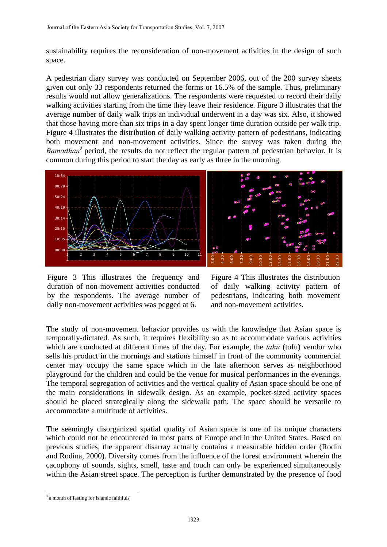sustainability requires the reconsideration of non-movement activities in the design of such space.

A pedestrian diary survey was conducted on September 2006, out of the 200 survey sheets given out only 33 respondents returned the forms or 16.5% of the sample. Thus, preliminary results would not allow generalizations. The respondents were requested to record their daily walking activities starting from the time they leave their residence. Figure 3 illustrates that the average number of daily walk trips an individual underwent in a day was six. Also, it showed that those having more than six trips in a day spent longer time duration outside per walk trip. Figure 4 illustrates the distribution of daily walking activity pattern of pedestrians, indicating both movement and non-movement activities. Since the survey was taken during the Ramadhan<sup>3</sup> period, the results do not reflect the regular pattern of pedestrian behavior. It is common during this period to start the day as early as three in the morning.





Figure 3 This illustrates the frequency and duration of non-movement activities conducted by the respondents. The average number of daily non-movement activities was pegged at 6.

Figure 4 This illustrates the distribution of daily walking activity pattern of pedestrians, indicating both movement and non-movement activities.

The study of non-movement behavior provides us with the knowledge that Asian space is temporally-dictated. As such, it requires flexibility so as to accommodate various activities which are conducted at different times of the day. For example, the *tahu* (tofu) vendor who sells his product in the mornings and stations himself in front of the community commercial center may occupy the same space which in the late afternoon serves as neighborhood playground for the children and could be the venue for musical performances in the evenings. The temporal segregation of activities and the vertical quality of Asian space should be one of the main considerations in sidewalk design. As an example, pocket-sized activity spaces should be placed strategically along the sidewalk path. The space should be versatile to accommodate a multitude of activities.

The seemingly disorganized spatial quality of Asian space is one of its unique characters which could not be encountered in most parts of Europe and in the United States. Based on previous studies, the apparent disarray actually contains a measurable hidden order (Rodin and Rodina, 2000). Diversity comes from the influence of the forest environment wherein the cacophony of sounds, sights, smell, taste and touch can only be experienced simultaneously within the Asian street space. The perception is further demonstrated by the presence of food

 $\overline{a}$ <sup>3</sup> a month of fasting for Islamic faithfuls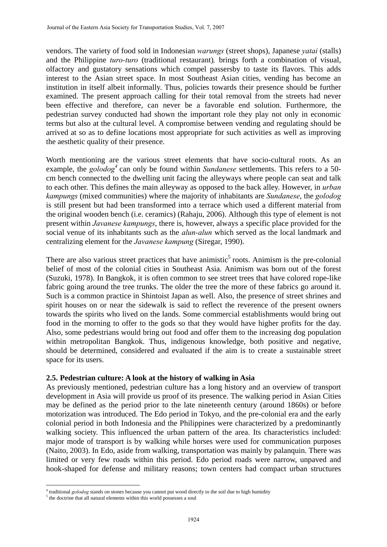vendors. The variety of food sold in Indonesian *warungs* (street shops), Japanese *yatai* (stalls) and the Philippine *turo-turo* (traditional restaurant)*,* brings forth a combination of visual, olfactory and gustatory sensations which compel passersby to taste its flavors. This adds interest to the Asian street space. In most Southeast Asian cities, vending has become an institution in itself albeit informally. Thus, policies towards their presence should be further examined. The present approach calling for their total removal from the streets had never been effective and therefore, can never be a favorable end solution. Furthermore, the pedestrian survey conducted had shown the important role they play not only in economic terms but also at the cultural level. A compromise between vending and regulating should be arrived at so as to define locations most appropriate for such activities as well as improving the aesthetic quality of their presence.

Worth mentioning are the various street elements that have socio-cultural roots. As an example, the *golodog*<sup>4</sup> can only be found within *Sundanese* settlements. This refers to a 50cm bench connected to the dwelling unit facing the alleyways where people can seat and talk to each other. This defines the main alleyway as opposed to the back alley. However, in *urban kampungs* (mixed communities) where the majority of inhabitants are *Sundanese*, the *golodog* is still present but had been transformed into a terrace which used a different material from the original wooden bench (i.e. ceramics) (Rahaju, 2006). Although this type of element is not present within *Javanese kampungs*, there is, however, always a specific place provided for the social venue of its inhabitants such as the *alun-alun* which served as the local landmark and centralizing element for the *Javanese kampung* (Siregar, 1990).

There are also various street practices that have animistic<sup>5</sup> roots. Animism is the pre-colonial belief of most of the colonial cities in Southeast Asia. Animism was born out of the forest (Suzuki, 1978). In Bangkok, it is often common to see street trees that have colored rope-like fabric going around the tree trunks. The older the tree the more of these fabrics go around it. Such is a common practice in Shintoist Japan as well. Also, the presence of street shrines and spirit houses on or near the sidewalk is said to reflect the reverence of the present owners towards the spirits who lived on the lands. Some commercial establishments would bring out food in the morning to offer to the gods so that they would have higher profits for the day. Also, some pedestrians would bring out food and offer them to the increasing dog population within metropolitan Bangkok. Thus, indigenous knowledge, both positive and negative, should be determined, considered and evaluated if the aim is to create a sustainable street space for its users.

## **2.5. Pedestrian culture: A look at the history of walking in Asia**

As previously mentioned, pedestrian culture has a long history and an overview of transport development in Asia will provide us proof of its presence. The walking period in Asian Cities may be defined as the period prior to the late nineteenth century (around 1860s) or before motorization was introduced. The Edo period in Tokyo, and the pre-colonial era and the early colonial period in both Indonesia and the Philippines were characterized by a predominantly walking society. This influenced the urban pattern of the area. Its characteristics included: major mode of transport is by walking while horses were used for communication purposes (Naito, 2003). In Edo, aside from walking, transportation was mainly by palanquin. There was limited or very few roads within this period. Edo period roads were narrow, unpaved and hook-shaped for defense and military reasons; town centers had compact urban structures

 $\overline{a}$ 

 $^{4}$  traditional *golodog* stands on stones because you cannot put wood directly to the soil due to high humidity  $^{5}$  the destring that all natural elements within this world necessary a soul

 $5$  the doctrine that all natural elements within this world possesses a soul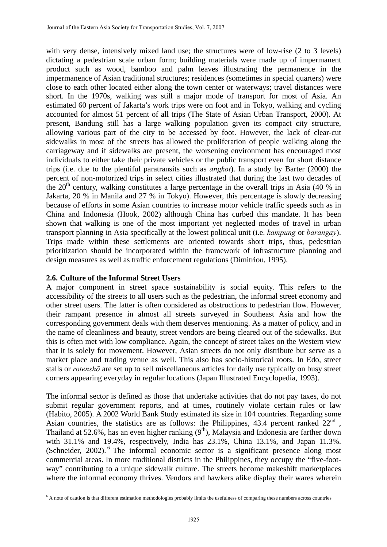with very dense, intensively mixed land use; the structures were of low-rise (2 to 3 levels) dictating a pedestrian scale urban form; building materials were made up of impermanent product such as wood, bamboo and palm leaves illustrating the permanence in the impermanence of Asian traditional structures; residences (sometimes in special quarters) were close to each other located either along the town center or waterways; travel distances were short. In the 1970s, walking was still a major mode of transport for most of Asia. An estimated 60 percent of Jakarta's work trips were on foot and in Tokyo, walking and cycling accounted for almost 51 percent of all trips (The State of Asian Urban Transport, 2000). At present, Bandung still has a large walking population given its compact city structure, allowing various part of the city to be accessed by foot. However, the lack of clear-cut sidewalks in most of the streets has allowed the proliferation of people walking along the carriageway and if sidewalks are present, the worsening environment has encouraged most individuals to either take their private vehicles or the public transport even for short distance trips (i.e. due to the plentiful paratransits such as *angkot*). In a study by Barter (2000) the percent of non-motorized trips in select cities illustrated that during the last two decades of the  $20<sup>th</sup>$  century, walking constitutes a large percentage in the overall trips in Asia (40 % in Jakarta, 20 % in Manila and 27 % in Tokyo). However, this percentage is slowly decreasing because of efforts in some Asian countries to increase motor vehicle traffic speeds such as in China and Indonesia (Hook, 2002) although China has curbed this mandate. It has been shown that walking is one of the most important yet neglected modes of travel in urban transport planning in Asia specifically at the lowest political unit (i.e. *kampung* or *barangay*). Trips made within these settlements are oriented towards short trips, thus, pedestrian prioritization should be incorporated within the framework of infrastructure planning and design measures as well as traffic enforcement regulations (Dimitriou, 1995).

## **2.6. Culture of the Informal Street Users**

A major component in street space sustainability is social equity. This refers to the accessibility of the streets to all users such as the pedestrian, the informal street economy and other street users. The latter is often considered as obstructions to pedestrian flow. However, their rampant presence in almost all streets surveyed in Southeast Asia and how the corresponding government deals with them deserves mentioning. As a matter of policy, and in the name of cleanliness and beauty, street vendors are being cleared out of the sidewalks. But this is often met with low compliance. Again, the concept of street takes on the Western view that it is solely for movement. However, Asian streets do not only distribute but serve as a market place and trading venue as well. This also has socio-historical roots. In Edo, street stalls or *rotenshō* are set up to sell miscellaneous articles for daily use typically on busy street corners appearing everyday in regular locations (Japan Illustrated Encyclopedia, 1993).

The informal sector is defined as those that undertake activities that do not pay taxes, do not submit regular government reports, and at times, routinely violate certain rules or law (Habito, 2005). A 2002 World Bank Study estimated its size in 104 countries. Regarding some Asian countries, the statistics are as follows: the Philippines,  $43.4$  percent ranked  $22<sup>nd</sup>$ . Thailand at 52.6%, has an even higher ranking  $(9<sup>th</sup>)$ , Malaysia and Indonesia are farther down with 31.1% and 19.4%, respectively, India has 23.1%, China 13.1%, and Japan 11.3%. (Schneider, 2002). <sup>6</sup> The informal economic sector is a significant presence along most commercial areas. In more traditional districts in the Philippines, they occupy the "five-footway" contributing to a unique sidewalk culture. The streets become makeshift marketplaces where the informal economy thrives. Vendors and hawkers alike display their wares wherein

 $\overline{a}$ <sup>6</sup> A note of caution is that different estimation methodologies probably limits the usefulness of comparing these numbers across countries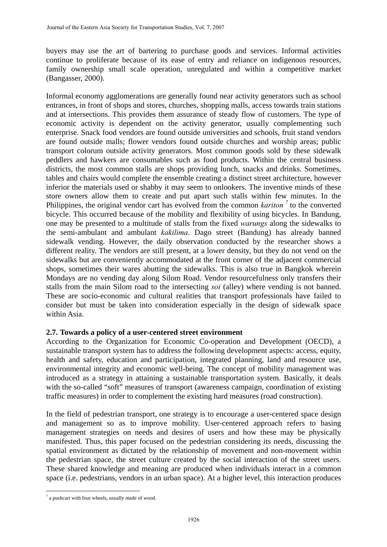buyers may use the art of bartering to purchase goods and services. Informal activities continue to proliferate because of its ease of entry and reliance on indigenous resources, family ownership small scale operation, unregulated and within a competitive market (Bangasser, 2000).

Informal economy agglomerations are generally found near activity generators such as school entrances, in front of shops and stores, churches, shopping malls, access towards train stations and at intersections. This provides them assurance of steady flow of customers. The type of economic activity is dependent on the activity generator, usually complementing such enterprise. Snack food vendors are found outside universities and schools, fruit stand vendors are found outside malls; flower vendors found outside churches and worship areas; public transport colorum outside activity generators. Most common goods sold by these sidewalk peddlers and hawkers are consumables such as food products. Within the central business districts, the most common stalls are shops providing lunch, snacks and drinks. Sometimes, tables and chairs would complete the ensemble creating a distinct street architecture, however inferior the materials used or shabby it may seem to onlookers. The inventive minds of these store owners allow them to create and put apart such stalls within few minutes. In the Philippines, the original vendor cart has evolved from the common *kariton <sup>7</sup>* to the converted bicycle. This occurred because of the mobility and flexibility of using bicycles. In Bandung, one may be presented to a multitude of stalls from the fixed *warungs* along the sidewalks to the semi-ambulant and ambulant *kakilima*. Dago street (Bandung) has already banned sidewalk vending. However, the daily observation conducted by the researcher shows a different reality. The vendors are still present, at a lower density, but they do not vend on the sidewalks but are conveniently accommodated at the front corner of the adjacent commercial shops, sometimes their wares abutting the sidewalks. This is also true in Bangkok wherein Mondays are no vending day along Silom Road. Vendor resourcefulness only transfers their stalls from the main Silom road to the intersecting *soi* (alley) where vending is not banned. These are socio-economic and cultural realities that transport professionals have failed to consider but must be taken into consideration especially in the design of sidewalk space within Asia.

## **2.7. Towards a policy of a user-centered street environment**

According to the Organization for Economic Co-operation and Development (OECD), a sustainable transport system has to address the following development aspects: access, equity, health and safety, education and participation, integrated planning, land and resource use, environmental integrity and economic well-being. The concept of mobility management was introduced as a strategy in attaining a sustainable transportation system. Basically, it deals with the so-called "soft" measures of transport (awareness campaign, coordination of existing traffic measures) in order to complement the existing hard measures (road construction).

In the field of pedestrian transport, one strategy is to encourage a user-centered space design and management so as to improve mobility. User-centered approach refers to basing management strategies on needs and desires of users and how these may be physically manifested. Thus, this paper focused on the pedestrian considering its needs, discussing the spatial environment as dictated by the relationship of movement and non-movement within the pedestrian space, the street culture created by the social interaction of the street users. These shared knowledge and meaning are produced when individuals interact in a common space (i.e. pedestrians, vendors in an urban space). At a higher level, this interaction produces

 $\overline{a}$ 

<sup>&</sup>lt;sup>7</sup> a pushcart with four wheels, usually made of wood.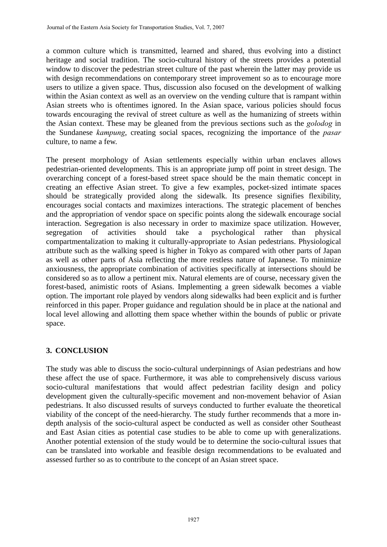a common culture which is transmitted, learned and shared, thus evolving into a distinct heritage and social tradition. The socio-cultural history of the streets provides a potential window to discover the pedestrian street culture of the past wherein the latter may provide us with design recommendations on contemporary street improvement so as to encourage more users to utilize a given space. Thus, discussion also focused on the development of walking within the Asian context as well as an overview on the vending culture that is rampant within Asian streets who is oftentimes ignored. In the Asian space, various policies should focus towards encouraging the revival of street culture as well as the humanizing of streets within the Asian context. These may be gleaned from the previous sections such as the *golodog* in the Sundanese *kampung*, creating social spaces, recognizing the importance of the *pasar* culture, to name a few.

The present morphology of Asian settlements especially within urban enclaves allows pedestrian-oriented developments. This is an appropriate jump off point in street design. The overarching concept of a forest-based street space should be the main thematic concept in creating an effective Asian street. To give a few examples, pocket-sized intimate spaces should be strategically provided along the sidewalk. Its presence signifies flexibility, encourages social contacts and maximizes interactions. The strategic placement of benches and the appropriation of vendor space on specific points along the sidewalk encourage social interaction. Segregation is also necessary in order to maximize space utilization. However, segregation of activities should take a psychological rather than physical compartmentalization to making it culturally-appropriate to Asian pedestrians. Physiological attribute such as the walking speed is higher in Tokyo as compared with other parts of Japan as well as other parts of Asia reflecting the more restless nature of Japanese. To minimize anxiousness, the appropriate combination of activities specifically at intersections should be considered so as to allow a pertinent mix. Natural elements are of course, necessary given the forest-based, animistic roots of Asians. Implementing a green sidewalk becomes a viable option. The important role played by vendors along sidewalks had been explicit and is further reinforced in this paper. Proper guidance and regulation should be in place at the national and local level allowing and allotting them space whether within the bounds of public or private space.

# **3. CONCLUSION**

The study was able to discuss the socio-cultural underpinnings of Asian pedestrians and how these affect the use of space. Furthermore, it was able to comprehensively discuss various socio-cultural manifestations that would affect pedestrian facility design and policy development given the culturally-specific movement and non-movement behavior of Asian pedestrians. It also discussed results of surveys conducted to further evaluate the theoretical viability of the concept of the need-hierarchy. The study further recommends that a more indepth analysis of the socio-cultural aspect be conducted as well as consider other Southeast and East Asian cities as potential case studies to be able to come up with generalizations. Another potential extension of the study would be to determine the socio-cultural issues that can be translated into workable and feasible design recommendations to be evaluated and assessed further so as to contribute to the concept of an Asian street space.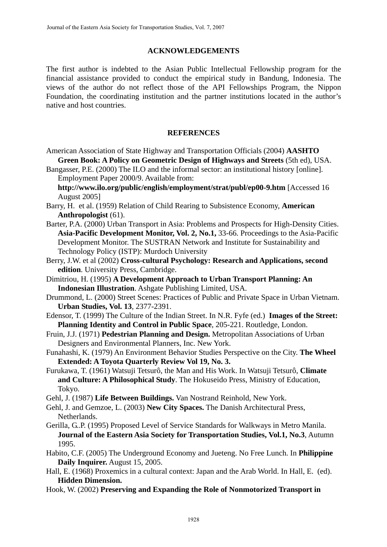### **ACKNOWLEDGEMENTS**

The first author is indebted to the Asian Public Intellectual Fellowship program for the financial assistance provided to conduct the empirical study in Bandung, Indonesia. The views of the author do not reflect those of the API Fellowships Program, the Nippon Foundation, the coordinating institution and the partner institutions located in the author's native and host countries.

### **REFERENCES**

American Association of State Highway and Transportation Officials (2004) **AASHTO Green Book: A Policy on Geometric Design of Highways and Streets** (5th ed), USA.

Bangasser, P.E. (2000) The ILO and the informal sector: an institutional history [online]. Employment Paper 2000/9. Available from:

**http://www.ilo.org/public/english/employment/strat/publ/ep00-9.htm** [Accessed 16 August 2005]

- Barry, H. et al. (1959) Relation of Child Rearing to Subsistence Economy, **American Anthropologist** (61).
- Barter, P.A. (2000) Urban Transport in Asia: Problems and Prospects for High-Density Cities. **Asia-Pacific Development Monitor, Vol. 2, No.1,** 33-66. Proceedings to the Asia-Pacific Development Monitor. The SUSTRAN Network and Institute for Sustainability and Technology Policy (ISTP): Murdoch University
- Berry, J.W. et al (2002) **Cross-cultural Psychology: Research and Applications, second edition**. University Press, Cambridge.
- Dimitriou, H. (1995) **A Development Approach to Urban Transport Planning: An Indonesian Illustration**. Ashgate Publishing Limited, USA.
- Drummond, L. (2000) Street Scenes: Practices of Public and Private Space in Urban Vietnam. **Urban Studies, Vol. 13**, 2377-2391.
- Edensor, T. (1999) The Culture of the Indian Street. In N.R. Fyfe (ed.) **Images of the Street: Planning Identity and Control in Public Space**, 205-221. Routledge, London.
- Fruin, J.J. (1971) **Pedestrian Planning and Design.** Metropolitan Associations of Urban Designers and Environmental Planners, Inc. New York.
- Funahashi, K. (1979) An Environment Behavior Studies Perspective on the City. **The Wheel Extended: A Toyota Quarterly Review Vol 19, No. 3.**
- Furukawa, T. (1961) Watsuji Tetsurô, the Man and His Work. In Watsuji Tetsurô, **Climate and Culture: A Philosophical Study**. The Hokuseido Press, Ministry of Education, Tokyo.
- Gehl, J. (1987) **Life Between Buildings.** Van Nostrand Reinhold, New York.
- Gehl, J. and Gemzoe, L. (2003) **New City Spaces.** The Danish Architectural Press, Netherlands.
- Gerilla, G..P. (1995) Proposed Level of Service Standards for Walkways in Metro Manila. **Journal of the Eastern Asia Society for Transportation Studies, Vol.1, No.3**, Autumn 1995.
- Habito, C.F. (2005) The Underground Economy and Jueteng. No Free Lunch. In **Philippine Daily Inquirer.** August 15, 2005.
- Hall, E. (1968) Proxemics in a cultural context: Japan and the Arab World. In Hall, E. (ed). **Hidden Dimension.**
- Hook, W. (2002) **Preserving and Expanding the Role of Nonmotorized Transport in**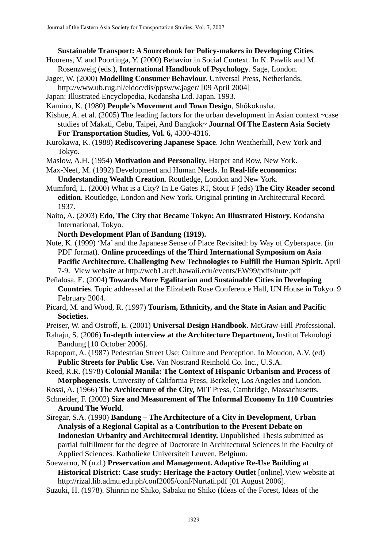#### **Sustainable Transport: A Sourcebook for Policy-makers in Developing Cities**.

- Hoorens, V. and Poortinga, Y. (2000) Behavior in Social Context. In K. Pawlik and M. Rosenzweig (eds.), **International Handbook of Psychology**. Sage, London.
- Jager, W. (2000) **Modelling Consumer Behaviour.** Universal Press, Netherlands.
- http://www.ub.rug.nl/eldoc/dis/ppsw/w.jager/ [09 April 2004]
- Japan: Illustrated Encyclopedia, Kodansha Ltd. Japan. 1993.
- Kamino, K. (1980) **People's Movement and Town Design**, Shôkokusha.
- Kishue, A. et al. (2005) The leading factors for the urban development in Asian context ~case studies of Makati, Cebu, Taipei, And Bangkok~ **Journal Of The Eastern Asia Society For Transportation Studies, Vol. 6,** 4300-4316.
- Kurokawa, K. (1988) **Rediscovering Japanese Space**. John Weatherhill, New York and Tokyo.
- Maslow, A.H. (1954) **Motivation and Personality.** Harper and Row, New York.
- Max-Neef, M. (1992) Development and Human Needs. In **Real-life economics: Understanding Wealth Creation**. Routledge, London and New York.
- Mumford, L. (2000) What is a City? In Le Gates RT, Stout F (eds) **The City Reader second edition**. Routledge, London and New York. Original printing in Architectural Record. 1937.
- Naito, A. (2003) **Edo, The City that Became Tokyo: An Illustrated History.** Kodansha International, Tokyo.
	- **North Development Plan of Bandung (1919).**
- Nute, K. (1999) 'Ma' and the Japanese Sense of Place Revisited: by Way of Cyberspace. (in PDF format). **Online proceedings of the Third International Symposium on Asia Pacific Architecture. Challenging New Technologies to Fulfill the Human Spirit.** April 7-9. View website at http://web1.arch.hawaii.edu/events/EW99/pdfs/nute.pdf

Peñalosa, E. (2004) **Towards More Egalitarian and Sustainable Cities in Developing Countries**. Topic addressed at the Elizabeth Rose Conference Hall, UN House in Tokyo. 9 February 2004.

Picard, M. and Wood, R. (1997) **Tourism, Ethnicity, and the State in Asian and Pacific Societies.** 

Preiser, W. and Ostroff, E. (2001) **Universal Design Handbook.** McGraw-Hill Professional.

- Rahaju, S. (2006) **In-depth interview at the Architecture Department,** Institut Teknologi Bandung [10 October 2006].
- Rapoport, A. (1987) Pedestrian Street Use: Culture and Perception. In Moudon, A.V. (ed) **Public Streets for Public Use.** Van Nostrand Reinhold Co. Inc., U.S.A.

Reed, R.R. (1978) **Colonial Manila: The Context of Hispanic Urbanism and Process of Morphogenesis**. University of California Press, Berkeley, Los Angeles and London.

Rossi, A. (1966) **The Architecture of the City,** MIT Press, Cambridge, Massachusetts.

Schneider, F. (2002) **Size and Measurement of The Informal Economy In 110 Countries Around The World**.

- Siregar, S.A. (1990) **Bandung The Architecture of a City in Development, Urban Analysis of a Regional Capital as a Contribution to the Present Debate on Indonesian Urbanity and Architectural Identity.** Unpublished Thesis submitted as partial fulfillment for the degree of Doctorate in Architectural Sciences in the Faculty of Applied Sciences. Katholieke Universiteit Leuven, Belgium.
- Soewarno, N (n.d.) **Preservation and Management. Adaptive Re-Use Building at Historical District: Case study: Heritage the Factory Outlet** [online].View website at http://rizal.lib.admu.edu.ph/conf2005/conf/Nurtati.pdf [01 August 2006].
- Suzuki, H. (1978). Shinrin no Shiko, Sabaku no Shiko (Ideas of the Forest, Ideas of the